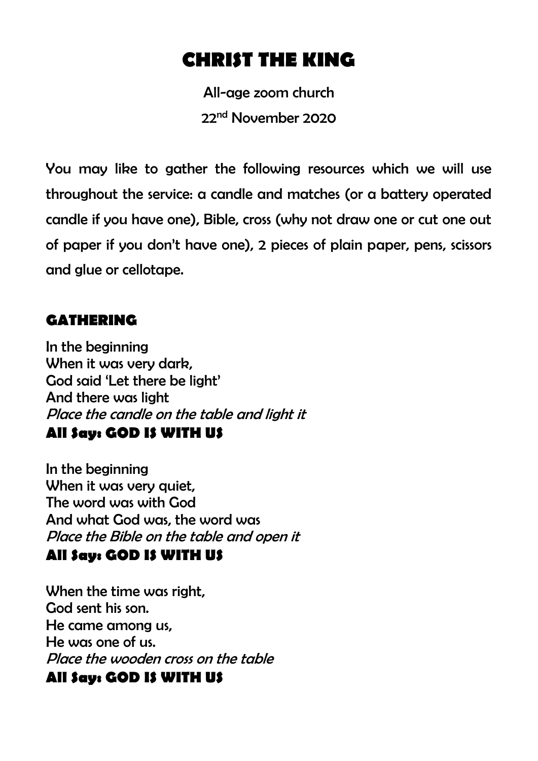# **CHRIST THE KING**

All-age zoom church 22nd November 2020

You may like to gather the following resources which we will use throughout the service: a candle and matches (or a battery operated candle if you have one), Bible, cross (why not draw one or cut one out of paper if you don't have one), 2 pieces of plain paper, pens, scissors and glue or cellotape.

### **GATHERING**

In the beginning When it was very dark, God said 'Let there be light' And there was light Place the candle on the table and light it **All Say: GOD IS WITH US**

In the beginning When it was very quiet. The word was with God And what God was, the word was Place the Bible on the table and open it

# **All Say: GOD IS WITH US**

When the time was right, God sent his son. He came among us, He was one of us. Place the wooden cross on the table

#### **All Say: GOD IS WITH US**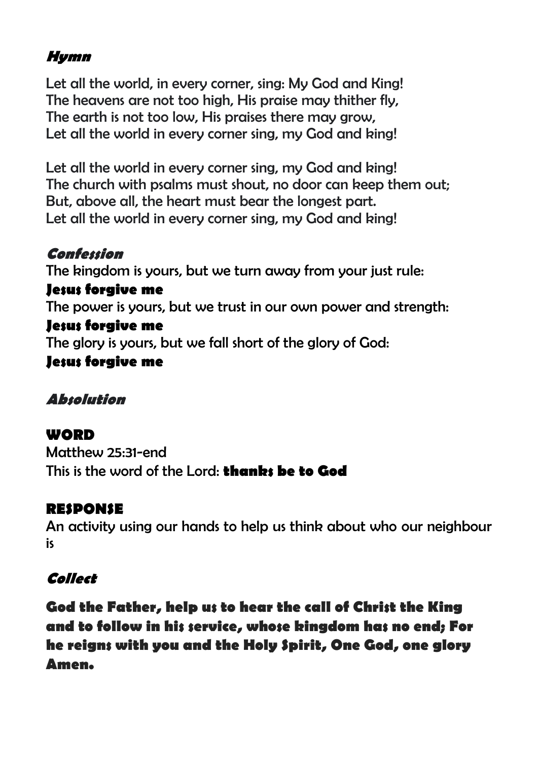### **Hymn**

Let all the world, in every corner, sing: My God and King! The heavens are not too high, His praise may thither fly, The earth is not too low, His praises there may grow, Let all the world in every corner sing, my God and king!

Let all the world in every corner sing, my God and king! The church with psalms must shout, no door can keep them out; But, above all, the heart must bear the longest part. Let all the world in every corner sing, my God and king!

# **Confession**

The kingdom is yours, but we turn away from your just rule:

#### **Jesus forgive me**

The power is yours, but we trust in our own power and strength:

### **Jesus forgive me**

The glory is yours, but we fall short of the glory of God:

### **Jesus forgive me**

# **Absolution**

# **WORD**

Matthew 25:31-end This is the word of the Lord: **thanks be to God** 

# **RESPONSE**

An activity using our hands to help us think about who our neighbour is

# **Collect**

**God the Father, help us to hear the call of Christ the King and to follow in his service, whose kingdom has no end; For he reigns with you and the Holy Spirit, One God, one glory Amen.**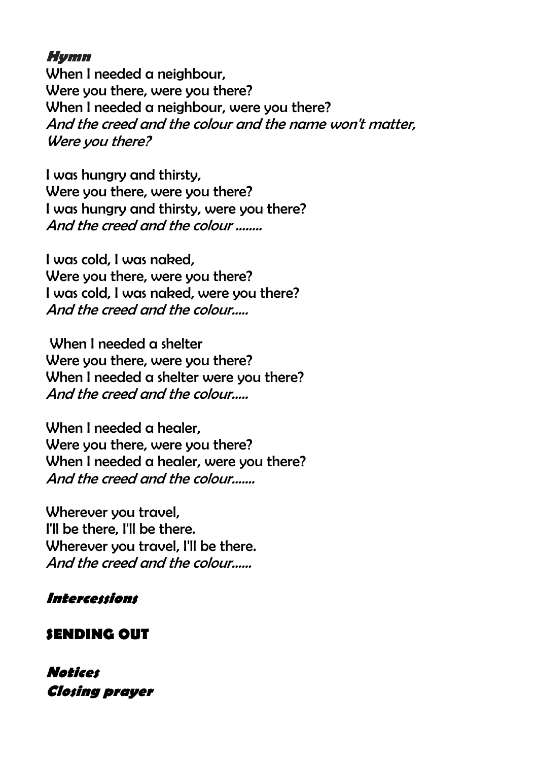#### **Hymn**

When I needed a neighbour. Were you there, were you there? When I needed a neighbour, were you there? And the creed and the colour and the name won't matter, Were you there?

I was hungry and thirsty, Were you there, were you there? I was hungry and thirsty, were you there? And the creed and the colour ……..

I was cold, I was naked, Were you there, were you there? I was cold, I was naked, were you there? And the creed and the colour…..

When I needed a shelter Were you there, were you there? When I needed a shelter were you there? And the creed and the colour…..

When I needed a healer. Were you there, were you there? When I needed a healer, were you there? And the creed and the colour…….

Wherever you travel, I'll be there, I'll be there. Wherever you travel. I'll be there. And the creed and the colour……

#### **Intercessions**

### **SENDING OUT**

**Notices Closing prayer**